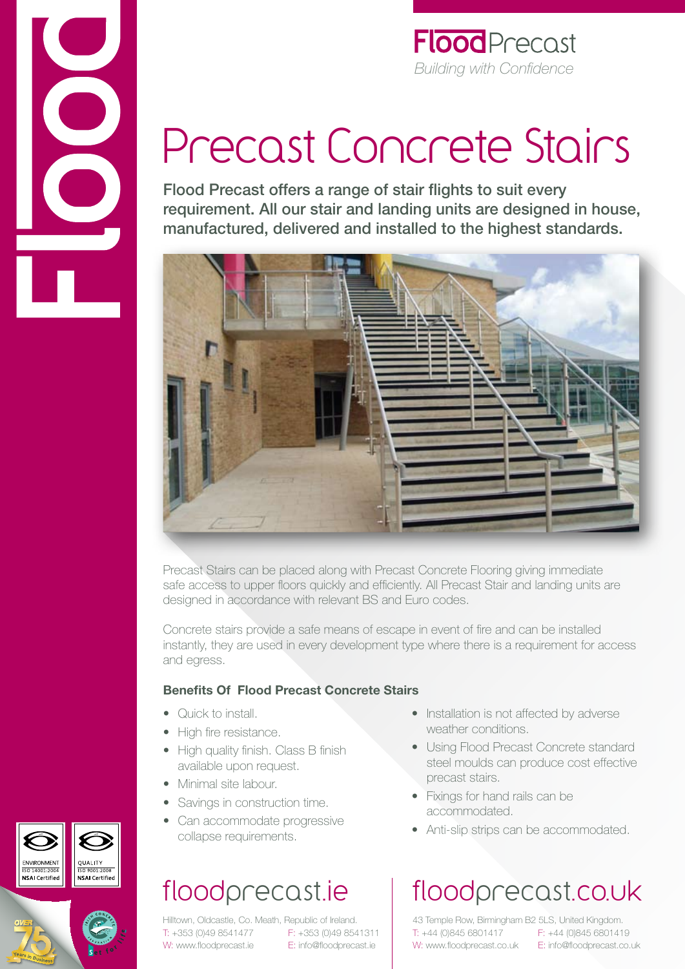

#### **Flood** Precast *Building with Confidence*

# Precast Concrete Stairs

Flood Precast offers a range of stair flights to suit every requirement. All our stair and landing units are designed in house, manufactured, delivered and installed to the highest standards.



Precast Stairs can be placed along with Precast Concrete Flooring giving immediate safe access to upper floors quickly and efficiently. All Precast Stair and landing units are designed in accordance with relevant BS and Euro codes.

Concrete stairs provide a safe means of escape in event of fire and can be installed instantly, they are used in every development type where there is a requirement for access and egress.

#### **Benefits Of Flood Precast Concrete Stairs**

- Quick to install
- High fire resistance.
- High quality finish. Class B finish available upon request.
- Minimal site labour.
- Savings in construction time.
- Can accommodate progressive collapse requirements.

### floodprecast.ie

Hilltown, Oldcastle, Co. Meath, Republic of Ireland. T: +353 (0)49 8541477 F: +353 (0)49 8541311 W: www.floodprecast.ie E: info@floodprecast.ie

- Installation is not affected by adverse weather conditions.
- Using Flood Precast Concrete standard steel moulds can produce cost effective precast stairs.
- Fixings for hand rails can be accommodated.
- Anti-slip strips can be accommodated.

## floodprecast.co.uk

43 Temple Row, Birmingham B2 5LS, United Kingdom. T: +44 (0)845 6801417 F: +44 (0)845 6801419 W: www.floodprecast.co.uk E: info@floodprecast.co.uk